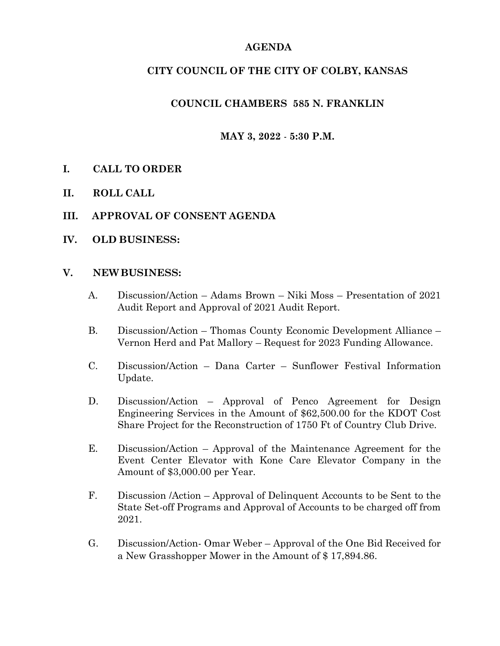## **AGENDA**

## **CITY COUNCIL OF THE CITY OF COLBY, KANSAS**

## **COUNCIL CHAMBERS 585 N. FRANKLIN**

## **MAY 3, 2022** - **5:30 P.M.**

- **I. CALL TO ORDER**
- **II. ROLL CALL**
- **III. APPROVAL OF CONSENT AGENDA**
- **IV. OLD BUSINESS:**

#### **V. NEWBUSINESS:**

- A. Discussion/Action Adams Brown Niki Moss Presentation of 2021 Audit Report and Approval of 2021 Audit Report.
- B. Discussion/Action Thomas County Economic Development Alliance Vernon Herd and Pat Mallory – Request for 2023 Funding Allowance.
- C. Discussion/Action Dana Carter Sunflower Festival Information Update.
- D. Discussion/Action Approval of Penco Agreement for Design Engineering Services in the Amount of \$62,500.00 for the KDOT Cost Share Project for the Reconstruction of 1750 Ft of Country Club Drive.
- E. Discussion/Action Approval of the Maintenance Agreement for the Event Center Elevator with Kone Care Elevator Company in the Amount of \$3,000.00 per Year.
- F. Discussion /Action Approval of Delinquent Accounts to be Sent to the State Set-off Programs and Approval of Accounts to be charged off from 2021.
- G. Discussion/Action- Omar Weber Approval of the One Bid Received for a New Grasshopper Mower in the Amount of \$ 17,894.86.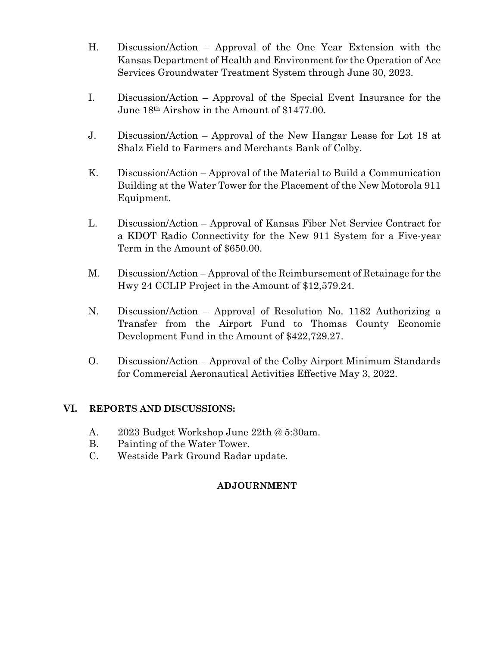- H. Discussion/Action Approval of the One Year Extension with the Kansas Department of Health and Environment for the Operation of Ace Services Groundwater Treatment System through June 30, 2023.
- I. Discussion/Action Approval of the Special Event Insurance for the June 18th Airshow in the Amount of \$1477.00.
- J. Discussion/Action Approval of the New Hangar Lease for Lot 18 at Shalz Field to Farmers and Merchants Bank of Colby.
- K. Discussion/Action Approval of the Material to Build a Communication Building at the Water Tower for the Placement of the New Motorola 911 Equipment.
- L. Discussion/Action Approval of Kansas Fiber Net Service Contract for a KDOT Radio Connectivity for the New 911 System for a Five-year Term in the Amount of \$650.00.
- M. Discussion/Action Approval of the Reimbursement of Retainage for the Hwy 24 CCLIP Project in the Amount of \$12,579.24.
- N. Discussion/Action Approval of Resolution No. 1182 Authorizing a Transfer from the Airport Fund to Thomas County Economic Development Fund in the Amount of \$422,729.27.
- O. Discussion/Action Approval of the Colby Airport Minimum Standards for Commercial Aeronautical Activities Effective May 3, 2022.

#### **VI. REPORTS AND DISCUSSIONS:**

- A. 2023 Budget Workshop June 22th @ 5:30am.
- B. Painting of the Water Tower.
- C. Westside Park Ground Radar update.

# **ADJOURNMENT**